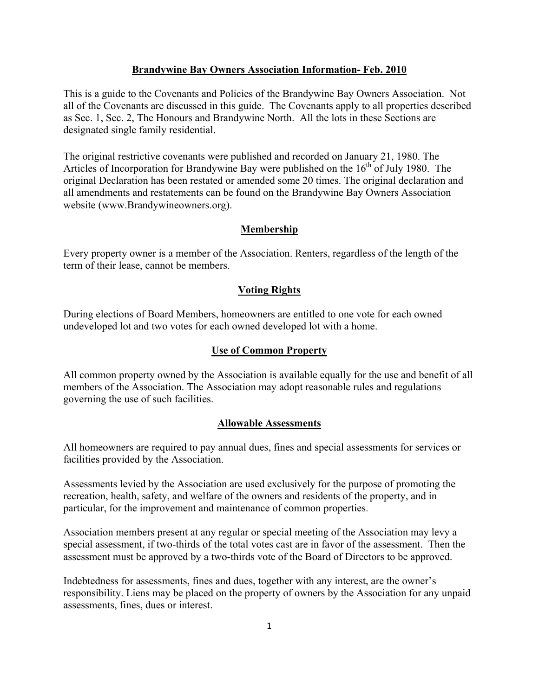## **Brandywine Bay Owners Association Information- Feb. 2010**

This is a guide to the Covenants and Policies of the Brandywine Bay Owners Association. Not all of the Covenants are discussed in this guide. The Covenants apply to all properties described as Sec. 1, Sec. 2, The Honours and Brandywine North. All the lots in these Sections are designated single family residential.

The original restrictive covenants were published and recorded on January 21, 1980. The Articles of Incorporation for Brandywine Bay were published on the  $16<sup>th</sup>$  of July 1980. The original Declaration has been restated or amended some 20 times. The original declaration and all amendments and restatements can be found on the Brandywine Bay Owners Association website (www.Brandywineowners.org).

## **Membership**

Every property owner is a member of the Association. Renters, regardless of the length of the term of their lease, cannot be members.

## **Voting Rights**

During elections of Board Members, homeowners are entitled to one vote for each owned undeveloped lot and two votes for each owned developed lot with a home.

## **Use of Common Property**

All common property owned by the Association is available equally for the use and benefit of all members of the Association. The Association may adopt reasonable rules and regulations governing the use of such facilities.

## **Allowable Assessments**

All homeowners are required to pay annual dues, fines and special assessments for services or facilities provided by the Association.

Assessments levied by the Association are used exclusively for the purpose of promoting the recreation, health, safety, and welfare of the owners and residents of the property, and in particular, for the improvement and maintenance of common properties.

Association members present at any regular or special meeting of the Association may levy a special assessment, if two-thirds of the total votes cast are in favor of the assessment. Then the assessment must be approved by a two-thirds vote of the Board of Directors to be approved.

Indebtedness for assessments, fines and dues, together with any interest, are the owner's responsibility. Liens may be placed on the property of owners by the Association for any unpaid assessments, fines, dues or interest.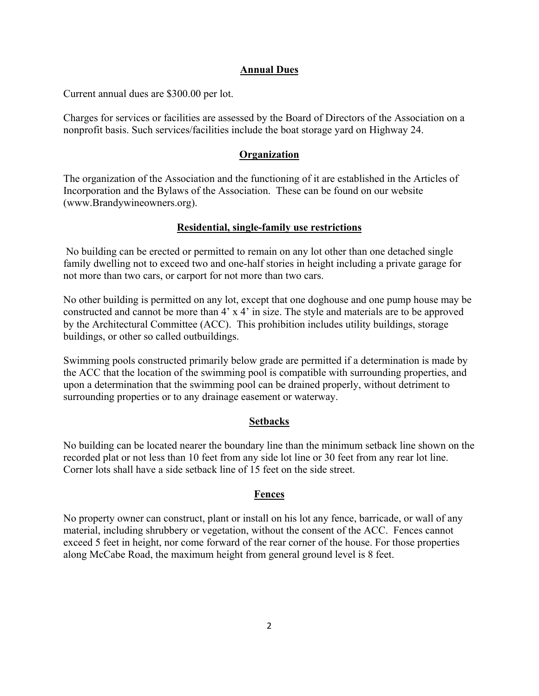# **Annual Dues**

Current annual dues are \$300.00 per lot.

Charges for services or facilities are assessed by the Board of Directors of the Association on a nonprofit basis. Such services/facilities include the boat storage yard on Highway 24.

# **Organization**

The organization of the Association and the functioning of it are established in the Articles of Incorporation and the Bylaws of the Association. These can be found on our website (www.Brandywineowners.org).

## **Residential, single-family use restrictions**

 No building can be erected or permitted to remain on any lot other than one detached single family dwelling not to exceed two and one-half stories in height including a private garage for not more than two cars, or carport for not more than two cars.

No other building is permitted on any lot, except that one doghouse and one pump house may be constructed and cannot be more than 4' x 4' in size. The style and materials are to be approved by the Architectural Committee (ACC). This prohibition includes utility buildings, storage buildings, or other so called outbuildings.

Swimming pools constructed primarily below grade are permitted if a determination is made by the ACC that the location of the swimming pool is compatible with surrounding properties, and upon a determination that the swimming pool can be drained properly, without detriment to surrounding properties or to any drainage easement or waterway.

## **Setbacks**

No building can be located nearer the boundary line than the minimum setback line shown on the recorded plat or not less than 10 feet from any side lot line or 30 feet from any rear lot line. Corner lots shall have a side setback line of 15 feet on the side street.

## **Fences**

No property owner can construct, plant or install on his lot any fence, barricade, or wall of any material, including shrubbery or vegetation, without the consent of the ACC. Fences cannot exceed 5 feet in height, nor come forward of the rear corner of the house. For those properties along McCabe Road, the maximum height from general ground level is 8 feet.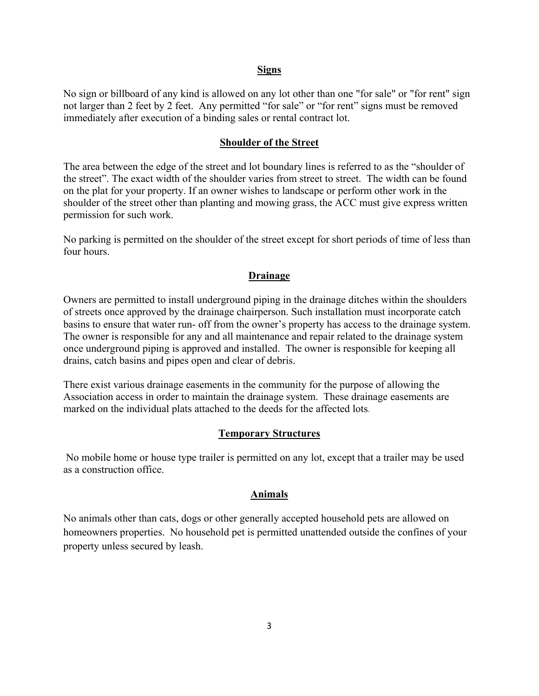#### **Signs**

No sign or billboard of any kind is allowed on any lot other than one "for sale" or "for rent" sign not larger than 2 feet by 2 feet. Any permitted "for sale" or "for rent" signs must be removed immediately after execution of a binding sales or rental contract lot.

#### **Shoulder of the Street**

The area between the edge of the street and lot boundary lines is referred to as the "shoulder of the street". The exact width of the shoulder varies from street to street. The width can be found on the plat for your property. If an owner wishes to landscape or perform other work in the shoulder of the street other than planting and mowing grass, the ACC must give express written permission for such work.

No parking is permitted on the shoulder of the street except for short periods of time of less than four hours.

#### **Drainage**

Owners are permitted to install underground piping in the drainage ditches within the shoulders of streets once approved by the drainage chairperson. Such installation must incorporate catch basins to ensure that water run- off from the owner's property has access to the drainage system. The owner is responsible for any and all maintenance and repair related to the drainage system once underground piping is approved and installed. The owner is responsible for keeping all drains, catch basins and pipes open and clear of debris.

There exist various drainage easements in the community for the purpose of allowing the Association access in order to maintain the drainage system. These drainage easements are marked on the individual plats attached to the deeds for the affected lots.

#### **Temporary Structures**

 No mobile home or house type trailer is permitted on any lot, except that a trailer may be used as a construction office.

## **Animals**

No animals other than cats, dogs or other generally accepted household pets are allowed on homeowners properties. No household pet is permitted unattended outside the confines of your property unless secured by leash.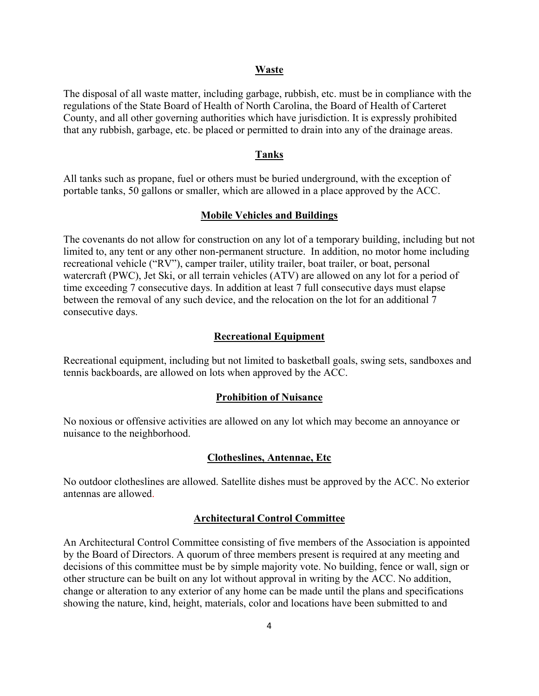#### **Waste**

The disposal of all waste matter, including garbage, rubbish, etc. must be in compliance with the regulations of the State Board of Health of North Carolina, the Board of Health of Carteret County, and all other governing authorities which have jurisdiction. It is expressly prohibited that any rubbish, garbage, etc. be placed or permitted to drain into any of the drainage areas.

#### **Tanks**

All tanks such as propane, fuel or others must be buried underground, with the exception of portable tanks, 50 gallons or smaller, which are allowed in a place approved by the ACC.

#### **Mobile Vehicles and Buildings**

The covenants do not allow for construction on any lot of a temporary building, including but not limited to, any tent or any other non-permanent structure. In addition, no motor home including recreational vehicle ("RV"), camper trailer, utility trailer, boat trailer, or boat, personal watercraft (PWC), Jet Ski, or all terrain vehicles (ATV) are allowed on any lot for a period of time exceeding 7 consecutive days. In addition at least 7 full consecutive days must elapse between the removal of any such device, and the relocation on the lot for an additional 7 consecutive days.

## **Recreational Equipment**

Recreational equipment, including but not limited to basketball goals, swing sets, sandboxes and tennis backboards, are allowed on lots when approved by the ACC.

#### **Prohibition of Nuisance**

No noxious or offensive activities are allowed on any lot which may become an annoyance or nuisance to the neighborhood.

## **Clotheslines, Antennae, Etc**

No outdoor clotheslines are allowed. Satellite dishes must be approved by the ACC. No exterior antennas are allowed.

## **Architectural Control Committee**

An Architectural Control Committee consisting of five members of the Association is appointed by the Board of Directors. A quorum of three members present is required at any meeting and decisions of this committee must be by simple majority vote. No building, fence or wall, sign or other structure can be built on any lot without approval in writing by the ACC. No addition, change or alteration to any exterior of any home can be made until the plans and specifications showing the nature, kind, height, materials, color and locations have been submitted to and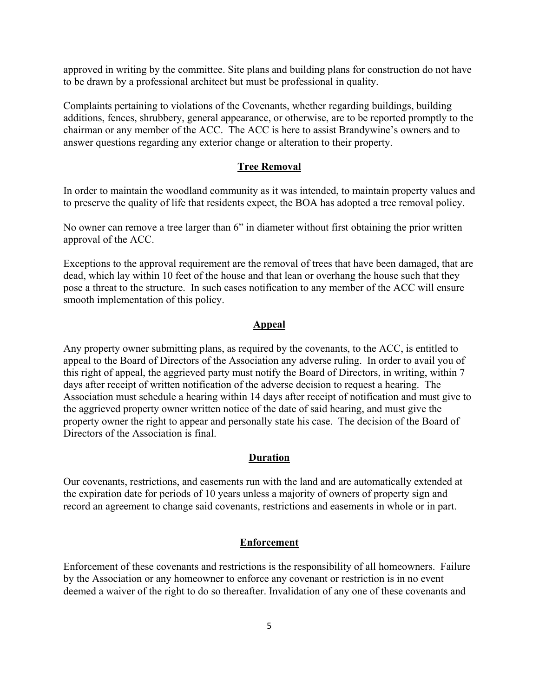approved in writing by the committee. Site plans and building plans for construction do not have to be drawn by a professional architect but must be professional in quality.

Complaints pertaining to violations of the Covenants, whether regarding buildings, building additions, fences, shrubbery, general appearance, or otherwise, are to be reported promptly to the chairman or any member of the ACC. The ACC is here to assist Brandywine's owners and to answer questions regarding any exterior change or alteration to their property.

#### **Tree Removal**

In order to maintain the woodland community as it was intended, to maintain property values and to preserve the quality of life that residents expect, the BOA has adopted a tree removal policy.

No owner can remove a tree larger than 6" in diameter without first obtaining the prior written approval of the ACC.

Exceptions to the approval requirement are the removal of trees that have been damaged, that are dead, which lay within 10 feet of the house and that lean or overhang the house such that they pose a threat to the structure. In such cases notification to any member of the ACC will ensure smooth implementation of this policy.

#### **Appeal**

Any property owner submitting plans, as required by the covenants, to the ACC, is entitled to appeal to the Board of Directors of the Association any adverse ruling. In order to avail you of this right of appeal, the aggrieved party must notify the Board of Directors, in writing, within 7 days after receipt of written notification of the adverse decision to request a hearing. The Association must schedule a hearing within 14 days after receipt of notification and must give to the aggrieved property owner written notice of the date of said hearing, and must give the property owner the right to appear and personally state his case. The decision of the Board of Directors of the Association is final.

## **Duration**

Our covenants, restrictions, and easements run with the land and are automatically extended at the expiration date for periods of 10 years unless a majority of owners of property sign and record an agreement to change said covenants, restrictions and easements in whole or in part.

## **Enforcement**

Enforcement of these covenants and restrictions is the responsibility of all homeowners. Failure by the Association or any homeowner to enforce any covenant or restriction is in no event deemed a waiver of the right to do so thereafter. Invalidation of any one of these covenants and